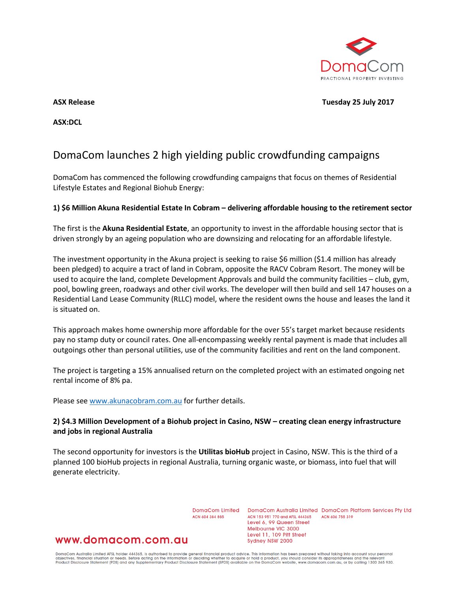

**ASX Release Tuesday 25 July 2017**

**ASX:DCL**

# DomaCom launches 2 high yielding public crowdfunding campaigns

DomaCom has commenced the following crowdfunding campaigns that focus on themes of Residential Lifestyle Estates and Regional Biohub Energy:

#### **1) \$6 Million Akuna Residential Estate In Cobram – delivering affordable housing to the retirement sector**

The first is the **Akuna Residential Estate**, an opportunity to invest in the affordable housing sector that is driven strongly by an ageing population who are downsizing and relocating for an affordable lifestyle.

The investment opportunity in the Akuna project is seeking to raise \$6 million (\$1.4 million has already been pledged) to acquire a tract of land in Cobram, opposite the RACV Cobram Resort. The money will be used to acquire the land, complete Development Approvals and build the community facilities – club, gym, pool, bowling green, roadways and other civil works. The developer will then build and sell 147 houses on a Residential Land Lease Community (RLLC) model, where the resident owns the house and leases the land it is situated on.

This approach makes home ownership more affordable for the over 55's target market because residents pay no stamp duty or council rates. One all-encompassing weekly rental payment is made that includes all outgoings other than personal utilities, use of the community facilities and rent on the land component.

The project is targeting a 15% annualised return on the completed project with an estimated ongoing net rental income of 8% pa.

Please see [www.akunacobram.com.au](https://apac01.safelinks.protection.outlook.com/?url=http%3A%2F%2Fwww.akunacobram.com.au&data=02%7C01%7Cphilip.chard%40domacom.com.au%7C80327b1b42444f54a26f08d4cf57682a%7C39f342c447984b4aa5c878207a6c9250%7C0%7C0%7C636361421710959190&sdata=xjMb49zhkqpfY1dUxSItbWmFc6%2FqzYxRTlhDy7yapDM%3D&reserved=0) for further details.

### **2) \$4.3 Million Development of a Biohub project in Casino, NSW – creating clean energy infrastructure and jobs in regional Australia**

The second opportunity for investors is the **Utilitas bioHub** project in Casino, NSW. This is the third of a planned 100 bioHub projects in regional Australia, turning organic waste, or biomass, into fuel that will generate electricity.

ACN 604 384 885

DomaCom Limited DomaCom Australia Limited DomaCom Platform Services Pty Ltd ACN 153 951 770 and AFSL 444365 ACN 606 755 319 Level 6, 99 Queen Street Melbourne VIC 3000 Level 11, 109 Pitt Street Sydney NSW 2000

## www.domacom.com.au

DomaCom Australia Limited AFSL holder 444365, is authorised to provide general financial product advice. This information has been prepared without taking into account your personal<br>objectives, financial situation or needs